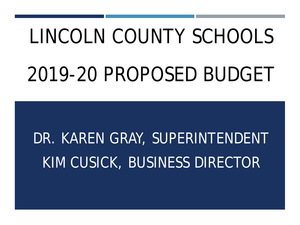# LINCOLN COUNTY SCHOOLS 2019-20 PROPOSED BUDGET

# DR. KAREN GRAY, SUPERINTENDENT KIM CUSICK, BUSINESS DIRECTOR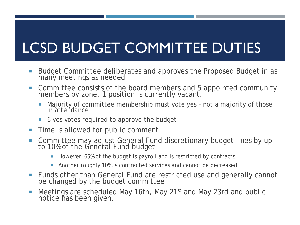### LCSD BUDGET COMMITTEE DUTIES

- Budget Committee deliberates and approves the Proposed Budget in as many meetings as needed
- Committee consists of the board members and 5 appointed community members by zone. 1 position is currently vacant.
	- Majority of committee membership must vote yes not a majority of those in attendance
	- 6 yes votes required to approve the budget
- **Time is allowed for public comment**
- Committee may adjust General Fund discretionary budget lines by up to 10% of the General Fund budget
	- However, 65% of the budget is payroll and is restricted by contracts
	- **Another roughly 10% is contracted services and cannot be decreased**
- Funds other than General Fund are restricted use and generally cannot be changed by the budget committee
- Meetings are scheduled May 16th, May 21<sup>st</sup> and May 23rd and public notice has been given.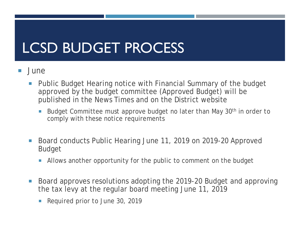#### LCSD BUDGET PROCESS

- June
	- **Public Budget Hearing notice with Financial Summary of the budget**  approved by the budget committee (Approved Budget) will be published in the News Times and on the District website
		- Budget Committee must approve budget no later than May 30<sup>th</sup> in order to comply with these notice requirements
	- Board conducts Public Hearing June 11, 2019 on 2019-20 Approved Budget
		- Allows another opportunity for the public to comment on the budget
	- Board approves resolutions adopting the 2019-20 Budget and approving the tax levy at the regular board meeting June 11, 2019
		- Required prior to June 30, 2019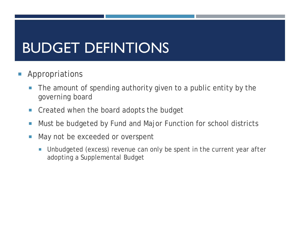#### BUDGET DEFINTIONS

- Appropriations
	- The amount of spending authority given to a public entity by the governing board
	- **Created when the board adopts the budget**
	- **Must be budgeted by Fund and Major Function for school districts**
	- May not be exceeded or overspent
		- Unbudgeted (excess) revenue can only be spent in the current year *after* adopting a Supplemental Budget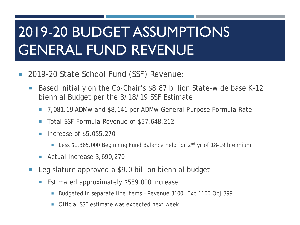- 2019-20 State School Fund (SSF) Revenue:
	- Based initially on the Co-Chair's \$8.87 billion State-wide base K-12 biennial Budget per the 3/18/19 SSF Estimate
		- 7,081.19 ADMw and \$8,141 per ADMw General Purpose Formula Rate
		- Total SSF Formula Revenue of \$57,648,212
		- **Increase of \$5,055,270** 
			- Less \$1,365,000 Beginning Fund Balance held for 2<sup>nd</sup> yr of 18-19 biennium
		- Actual increase 3,690,270
	- Legislature approved a \$9.0 billion biennial budget
		- Estimated approximately \$589,000 increase
			- Budgeted in separate line items Revenue 3100, Exp 1100 Obj 399
			- **Official SSF estimate was expected next week**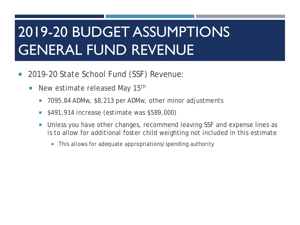- 2019-20 State School Fund (SSF) Revenue:
	- **New estimate released May 15th** 
		- 7095.84 ADMw, \$8,213 per ADMw, other minor adjustments
		- **5491,914 increase (estimate was \$589,000)**
		- **Unless you have other changes, recommend leaving SSF and expense lines as**  is to allow for additional foster child weighting not included in this estimate
			- **This allows for adequate appropriations/spending authority**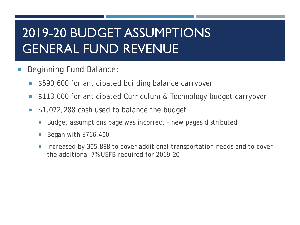- Beginning Fund Balance:
	- **5590,600 for anticipated building balance carryover**
	- **5113,000 for anticipated Curriculum & Technology budget carryover**
	- **\$1,072,288 cash used to balance the budget** 
		- **Budget assumptions page was incorrect new pages distributed**
		- Began with \$766,400
		- **Increased by 305,888 to cover additional transportation needs and to cover** the additional 7% UEFB required for 2019-20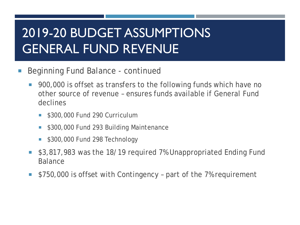- **Beginning Fund Balance continued** 
	- 900,000 is offset as transfers to the following funds which have no other source of revenue – ensures funds available if General Fund declines
		- \$300,000 Fund 290 Curriculum
		- \$300,000 Fund 293 Building Maintenance
		- **5300,000 Fund 298 Technology**
	- **53,817,983 was the 18/19 required 7% Unappropriated Ending Fund Balance**
	- **5750,000 is offset with Contingency part of the 7% requirement**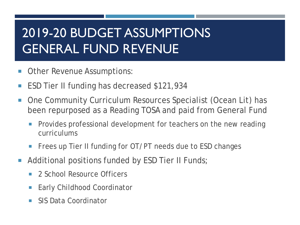- **Other Revenue Assumptions:**
- ESD Tier II funding has decreased \$121,934
- been repurposed as a Reading TOSA and paid from General Fund ■ One Community Curriculum Resources Specialist (Ocean Lit) has
	- **Provides professional development for teachers on the new reading** curriculums
	- **Filter 15 Frees up Tier II funding for OT/PT needs due to ESD changes**
- **Additional positions funded by ESD Tier II Funds;** 
	- 2 School Resource Officers
	- Early Childhood Coordinator
	- **SIS Data Coordinator**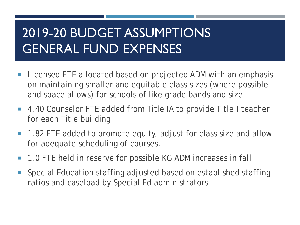- **Licensed FTE allocated based on projected ADM with an emphasis**  on maintaining smaller and equitable class sizes (where possible and space allows) for schools of like grade bands and size
- 4.40 Counselor FTE added from Title IA to provide Title I teacher for each Title building
- 1.82 FTE added to promote equity, adjust for class size and allow for adequate scheduling of courses.
- 1.0 FTE held in reserve for possible KG ADM increases in fall
- **Special Education staffing adjusted based on established staffing** ratios and caseload by Special Ed administrators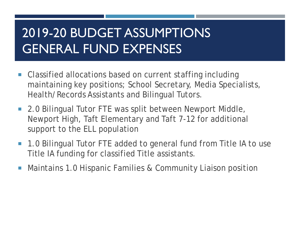- **Classified allocations based on current staffing including**  maintaining key positions; School Secretary, Media Specialists, Health/Records Assistants and Bilingual Tutors.
- **2.0 Bilingual Tutor FTE was split between Newport Middle,**  Newport High, Taft Elementary and Taft 7-12 for additional support to the ELL population
- 1.0 Bilingual Tutor FTE added to general fund from Title IA to use Title IA funding for classified Title assistants.
- **Maintains 1.0 Hispanic Families & Community Liaison position**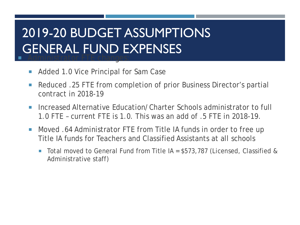#### 2019-20 BUDGET ASSUMPTIONS GENERAL FUND EXPENSES **Administrator FTE changes:**

- Added 1.0 Vice Principal for Sam Case
- Reduced .25 FTE from completion of prior Business Director's partial contract in 2018-19
- **Increased Alternative Education/Charter Schools administrator to full** 1.0 FTE – current FTE is 1.0. This was an add of .5 FTE in 2018-19.
- Moved .64 Administrator FTE from Title IA funds in order to free up Title IA funds for Teachers and Classified Assistants at all schools
	- Total moved to General Fund from Title IA = \$573,787 (Licensed, Classified & Administrative staff)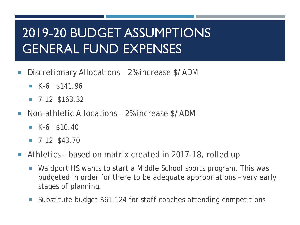- Discretionary Allocations 2% increase \$/ADM
	- $K-6$  \$141.96
	- $\blacksquare$  7-12 \$163.32
- Non-athletic Allocations 2% increase \$/ADM
	- $K-6$  \$10.40
	- $\blacksquare$  7-12 \$43.70
- Athletics based on matrix created in 2017-18, rolled up
	- **Naldport HS wants to start a Middle School sports program. This was**  budgeted in order for there to be adequate appropriations – very early stages of planning.
	- Substitute budget \$61,124 for staff coaches attending competitions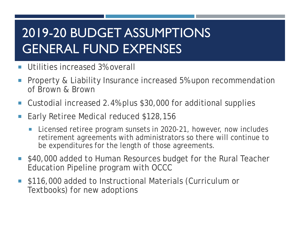- **Utilities increased 3% overall**
- **Property & Liability Insurance increased 5% upon recommendation** of Brown & Brown
- Custodial increased 2.4% plus \$30,000 for additional supplies
- Early Retiree Medical reduced \$128,156
	- **Licensed retiree program sunsets in 2020-21, however, now includes**  retirement agreements with administrators so there will continue to be expenditures for the length of those agreements.
- **540,000 added to Human Resources budget for the Rural Teacher** Education Pipeline program with OCCC
- \$116,000 added to Instructional Materials (Curriculum or Textbooks) for new adoptions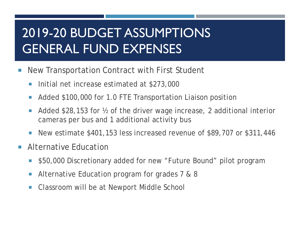- **New Transportation Contract with First Student** 
	- Initial net increase estimated at \$273,000
	- **Added \$100,000 for 1.0 FTE Transportation Liaison position**
	- Added \$28,153 for ½ of the driver wage increase, 2 additional interior cameras per bus and 1 additional activity bus
	- New estimate \$401,153 less increased revenue of \$89,707 or \$311,446
- **Alternative Education** 
	- \$50,000 Discretionary added for new "Future Bound" pilot program
	- Alternative Education program for grades 7 & 8
	- **Classroom will be at Newport Middle School**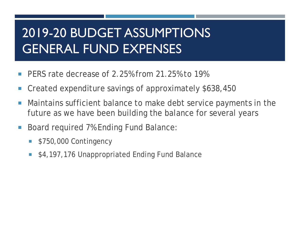- **PERS rate decrease of 2.25% from 21.25% to 19%**
- Created expenditure savings of approximately \$638,450
- **Maintains sufficient balance to make debt service payments in the** future as we have been building the balance for several years
- Board required 7% Ending Fund Balance:
	- **5750,000 Contingency**
	- \$4,197,176 Unappropriated Ending Fund Balance